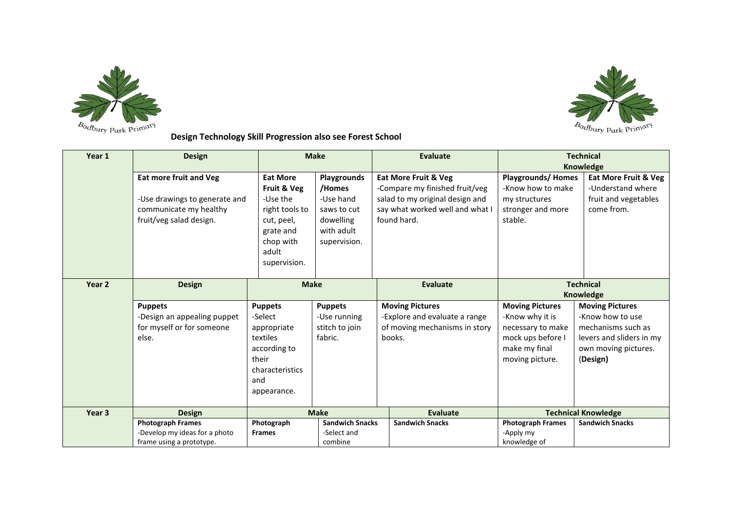



**Design Technology Skill Progression also see Forest School** 

| Year 1                             | <b>Design</b>                 |                 | <b>Make</b>            | <b>Evaluate</b>                 | <b>Technical</b>           |                                 |
|------------------------------------|-------------------------------|-----------------|------------------------|---------------------------------|----------------------------|---------------------------------|
|                                    |                               |                 |                        |                                 | Knowledge                  |                                 |
|                                    | <b>Eat more fruit and Veg</b> | <b>Eat More</b> | Playgrounds            | <b>Eat More Fruit &amp; Veg</b> | <b>Playgrounds/ Homes</b>  | <b>Eat More Fruit &amp; Veg</b> |
|                                    |                               | Fruit & Veg     | /Homes                 | -Compare my finished fruit/veg  | -Know how to make          | -Understand where               |
|                                    | -Use drawings to generate and | -Use the        | -Use hand              | salad to my original design and | my structures              | fruit and vegetables            |
|                                    | communicate my healthy        | right tools to  | saws to cut            | say what worked well and what I | stronger and more          | come from.                      |
|                                    | fruit/veg salad design.       | cut, peel,      | dowelling              | found hard.                     | stable.                    |                                 |
|                                    |                               | grate and       | with adult             |                                 |                            |                                 |
|                                    |                               | chop with       | supervision.           |                                 |                            |                                 |
|                                    |                               | adult           |                        |                                 |                            |                                 |
|                                    |                               | supervision.    |                        |                                 |                            |                                 |
| Year <sub>2</sub>                  | <b>Design</b>                 | <b>Make</b>     |                        | <b>Evaluate</b>                 | <b>Technical</b>           |                                 |
|                                    |                               |                 |                        |                                 | Knowledge                  |                                 |
|                                    | <b>Puppets</b>                | <b>Puppets</b>  | <b>Puppets</b>         | <b>Moving Pictures</b>          | <b>Moving Pictures</b>     | <b>Moving Pictures</b>          |
|                                    | -Design an appealing puppet   | -Select         | -Use running           | -Explore and evaluate a range   | -Know why it is            | -Know how to use                |
|                                    | for myself or for someone     | appropriate     | stitch to join         | of moving mechanisms in story   | necessary to make          | mechanisms such as              |
|                                    | else.                         | textiles        | fabric.                | books.                          | mock ups before I          | levers and sliders in my        |
|                                    |                               | according to    |                        |                                 | make my final              | own moving pictures.            |
|                                    |                               | their           |                        |                                 | moving picture.            | (Design)                        |
|                                    |                               | characteristics |                        |                                 |                            |                                 |
|                                    |                               | and             |                        |                                 |                            |                                 |
|                                    |                               | appearance.     |                        |                                 |                            |                                 |
| Year <sub>3</sub><br><b>Design</b> |                               | <b>Make</b>     |                        | <b>Evaluate</b>                 | <b>Technical Knowledge</b> |                                 |
|                                    | <b>Photograph Frames</b>      | Photograph      | <b>Sandwich Snacks</b> | <b>Sandwich Snacks</b>          | <b>Photograph Frames</b>   | <b>Sandwich Snacks</b>          |
|                                    | -Develop my ideas for a photo | <b>Frames</b>   | -Select and            |                                 | -Apply my                  |                                 |
|                                    | frame using a prototype.      |                 | combine                |                                 | knowledge of               |                                 |